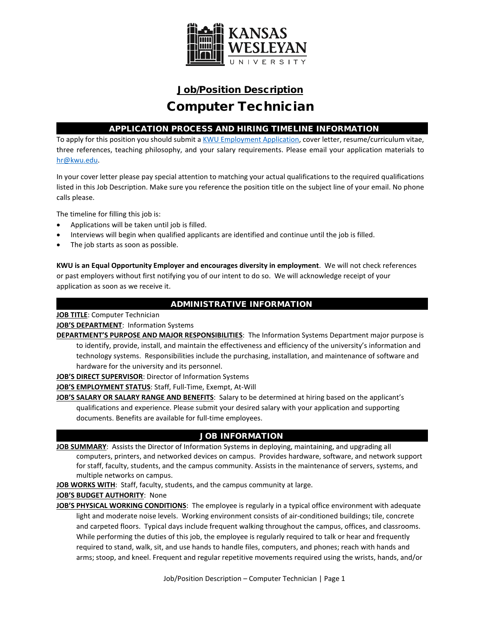

# Job/Position Description Computer Technician

## APPLICATION PROCESS AND HIRING TIMELINE INFORMATION

To apply for this position you should submit [a KWU Employment Application,](https://www.kwu.edu/wp-content/uploads/Employment-Application-Form-ELECTRONIC-Revised-3-.pdf) cover letter, resume/curriculum vitae, three references, teaching philosophy, and your salary requirements. Please email your application materials to [hr@kwu.edu.](mailto:hr@kwu.edu)

In your cover letter please pay special attention to matching your actual qualifications to the required qualifications listed in this Job Description. Make sure you reference the position title on the subject line of your email. No phone calls please.

The timeline for filling this job is:

- Applications will be taken until job is filled.
- Interviews will begin when qualified applicants are identified and continue until the job is filled.
- The job starts as soon as possible.

**KWU is an Equal Opportunity Employer and encourages diversity in employment**. We will not check references or past employers without first notifying you of our intent to do so. We will acknowledge receipt of your application as soon as we receive it.

## ADMINISTRATIVE INFORMATION

**JOB TITLE**: Computer Technician

**JOB'S DEPARTMENT**: Information Systems

**DEPARTMENT'S PURPOSE AND MAJOR RESPONSIBILITIES**: The Information Systems Department major purpose is to identify, provide, install, and maintain the effectiveness and efficiency of the university's information and technology systems. Responsibilities include the purchasing, installation, and maintenance of software and hardware for the university and its personnel.

**JOB'S DIRECT SUPERVISOR**: Director of Information Systems

**JOB'S EMPLOYMENT STATUS**: Staff, Full-Time, Exempt, At-Will

**JOB'S SALARY OR SALARY RANGE AND BENEFITS**: Salary to be determined at hiring based on the applicant's qualifications and experience. Please submit your desired salary with your application and supporting documents. Benefits are available for full-time employees.

## JOB INFORMATION

**JOB SUMMARY**: Assists the Director of Information Systems in deploying, maintaining, and upgrading all computers, printers, and networked devices on campus. Provides hardware, software, and network support for staff, faculty, students, and the campus community. Assists in the maintenance of servers, systems, and multiple networks on campus.

**JOB WORKS WITH**: Staff, faculty, students, and the campus community at large.

**JOB'S BUDGET AUTHORITY**: None

**JOB'S PHYSICAL WORKING CONDITIONS**: The employee is regularly in a typical office environment with adequate light and moderate noise levels. Working environment consists of air-conditioned buildings; tile, concrete and carpeted floors. Typical days include frequent walking throughout the campus, offices, and classrooms. While performing the duties of this job, the employee is regularly required to talk or hear and frequently required to stand, walk, sit, and use hands to handle files, computers, and phones; reach with hands and arms; stoop, and kneel. Frequent and regular repetitive movements required using the wrists, hands, and/or

Job/Position Description – Computer Technician | Page 1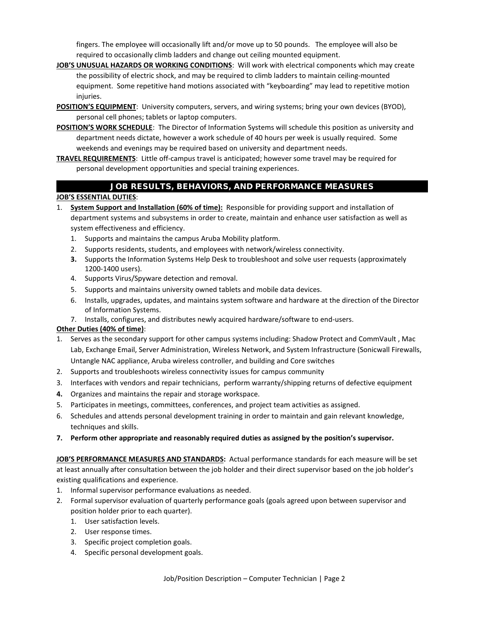fingers. The employee will occasionally lift and/or move up to 50 pounds. The employee will also be required to occasionally climb ladders and change out ceiling mounted equipment.

- **JOB'S UNUSUAL HAZARDS OR WORKING CONDITIONS**: Will work with electrical components which may create the possibility of electric shock, and may be required to climb ladders to maintain ceiling-mounted equipment. Some repetitive hand motions associated with "keyboarding" may lead to repetitive motion injuries.
- **POSITION'S EQUIPMENT**: University computers, servers, and wiring systems; bring your own devices (BYOD), personal cell phones; tablets or laptop computers.
- **POSITION'S WORK SCHEDULE**: The Director of Information Systems will schedule this position as university and department needs dictate, however a work schedule of 40 hours per week is usually required. Some weekends and evenings may be required based on university and department needs.
- **TRAVEL REQUIREMENTS**: Little off-campus travel is anticipated; however some travel may be required for personal development opportunities and special training experiences.

## JOB RESULTS, BEHAVIORS, AND PERFORMANCE MEASURES

#### **JOB'S ESSENTIAL DUTIES**:

- 1. **System Support and Installation (60% of time):** Responsible for providing support and installation of department systems and subsystems in order to create, maintain and enhance user satisfaction as well as system effectiveness and efficiency.
	- 1. Supports and maintains the campus Aruba Mobility platform.
	- 2. Supports residents, students, and employees with network/wireless connectivity.
	- **3.** Supports the Information Systems Help Desk to troubleshoot and solve user requests (approximately 1200-1400 users).
	- 4. Supports Virus/Spyware detection and removal.
	- 5. Supports and maintains university owned tablets and mobile data devices.
	- 6. Installs, upgrades, updates, and maintains system software and hardware at the direction of the Director of Information Systems.
	- 7. Installs, configures, and distributes newly acquired hardware/software to end-users.

#### **Other Duties (40% of time)**:

- 1. Serves as the secondary support for other campus systems including: Shadow Protect and CommVault , Mac Lab, Exchange Email, Server Administration, Wireless Network, and System Infrastructure (Sonicwall Firewalls, Untangle NAC appliance, Aruba wireless controller, and building and Core switches
- 2. Supports and troubleshoots wireless connectivity issues for campus community
- 3. Interfaces with vendors and repair technicians, perform warranty/shipping returns of defective equipment
- **4.** Organizes and maintains the repair and storage workspace.
- 5. Participates in meetings, committees, conferences, and project team activities as assigned.
- 6. Schedules and attends personal development training in order to maintain and gain relevant knowledge, techniques and skills.
- **7. Perform other appropriate and reasonably required duties as assigned by the position's supervisor.**

**JOB'S PERFORMANCE MEASURES AND STANDARDS:** Actual performance standards for each measure will be set at least annually after consultation between the job holder and their direct supervisor based on the job holder's existing qualifications and experience.

- 1. Informal supervisor performance evaluations as needed.
- 2. Formal supervisor evaluation of quarterly performance goals (goals agreed upon between supervisor and position holder prior to each quarter).
	- 1. User satisfaction levels.
	- 2. User response times.
	- 3. Specific project completion goals.
	- 4. Specific personal development goals.